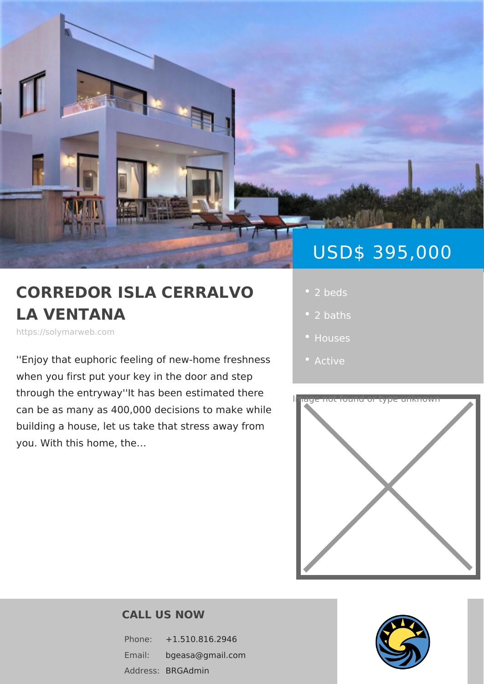# USD\$ 395,0

## CORREDOR ISLA CERRAL · 2 beds LA VENTANA

https://solymarweb.com

''Enjoy that euphoric feeling offrensehwn-ehsosn • [Activ](https://solymarweb.com/es_status/active/)e when you first put your key in the door

through the entryway''It has been estimated there can be as many as 400,000 decisions to make while building a house, let us take that stress away from you. With this home, the &

- 
- 
- 
- 



#### CALL US NOW

Phone: +1.510.816.2946 Email: bgeasa@gmail.com Addres**SBRGAdmin**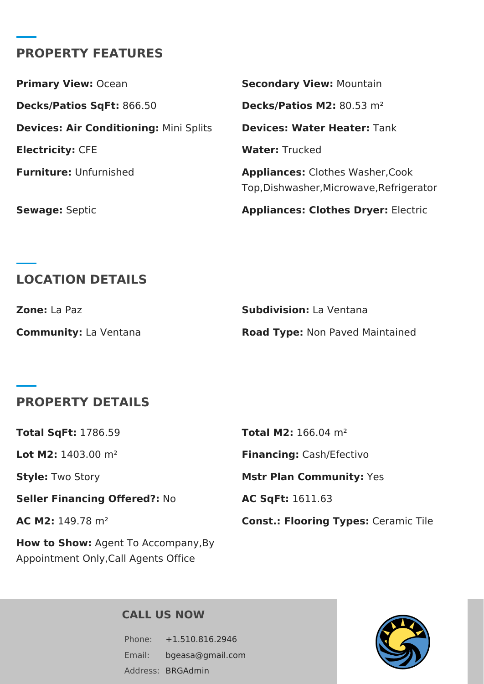### **PROPERTY FEATURES**

**Primary View: Ocean <b>Secondary View:** Mountain **Decks/Patios SqFt:** 866.50 **Decks/Patios M2:** 80.53 m² **Devices: Air Conditioning:** Mini Splits **Devices: Water Heater:** Tank **Electricity: CFE Water:** Trucked **Furniture:** Unfurnished **Appliances:** Clothes Washer,Cook Top,Dishwasher,Microwave,Refrigerator **Sewage:** Septic **Appliances: Clothes Dryer:** Electric

## **LOCATION DETAILS**

| <b>Zone:</b> La Paz          | <b>Subdivision:</b> La Ventana         |
|------------------------------|----------------------------------------|
| <b>Community:</b> La Ventana | <b>Road Type: Non Paved Maintained</b> |

#### **PROPERTY DETAILS**

| <b>Total SqFt: 1786.59</b>           | <b>Total M2:</b> 166.04 $m2$                |
|--------------------------------------|---------------------------------------------|
| Lot M2: $1403.00$ m <sup>2</sup>     | <b>Financing: Cash/Efectivo</b>             |
| <b>Style: Two Story</b>              | <b>Mstr Plan Community: Yes</b>             |
| <b>Seller Financing Offered?: No</b> | <b>AC SqFt: 1611.63</b>                     |
| AC M2: $149.78$ m <sup>2</sup>       | <b>Const.: Flooring Types: Ceramic Tile</b> |
|                                      |                                             |

**How to Show:** Agent To Accompany,By Appointment Only,Call Agents Office

#### **CALL US NOW**

Phone: +1.510.816.2946 Email: bgeasa@gmail.com Address: BRGAdmin